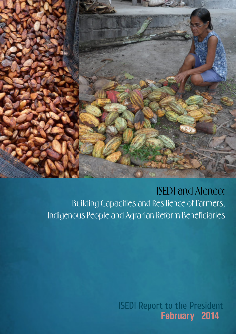

## ISEDI and Ateneo: Building Capacities and Resilience of Farmers, Indigenous People and Agrarian Reform Beneficiaries

**February 2014** ISEDI Report to the President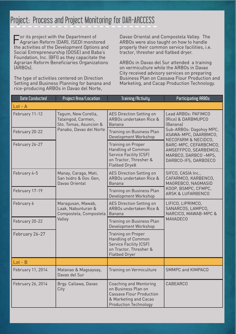## Project: Process and Project Monitoring for DAR-ARCCESS

For its project with the Department of<br>Agrarian Reform (DAR), ISEDI monitored the activities of the Development Options and Social Entrepreneurship (DOSE) and Baba's Foundation, Inc. (BFI) as they capacitate the Agrarian Reform Beneficiaries Organizations (ARBOs).

The type of activities centered on Direction Setting and Business Planning for banana and rice-producing ARBOs in Davao del Norte,

Davao Oriental and Compostela Valley. The ARBOs were also taught on how to handle properly their common service facilities, i.e. tractor, thresher and flatbed dryer.

ARBOs in Davao del Sur attended a training on vermiculture while the ARBOs in Davao City received advisory services on preparing Business Plan on Cassava Flour Production and Marketing, and Cacap Production Technology.

| <b>Date Conducted</b> | Project Area/Location                                                       | Training/Actiuity                                                                                                                         | Participating ARBOs                                                                                                                                                                                                              |  |
|-----------------------|-----------------------------------------------------------------------------|-------------------------------------------------------------------------------------------------------------------------------------------|----------------------------------------------------------------------------------------------------------------------------------------------------------------------------------------------------------------------------------|--|
| $Lot - A$             |                                                                             |                                                                                                                                           |                                                                                                                                                                                                                                  |  |
| February 11-12        | Tagum, New Corella,<br>Talaingod, Carmen,<br>Sto. Tomas, Asuncion &         | <b>AES Direction Setting on</b><br><b>ARBOs undertaken Rice &amp;</b><br><b>Banana</b>                                                    | Lead ARBOs: PAFIMCO<br>(Rice) & DARBMUPCO<br>(Banana)<br>Sub-ARBOs: Dagohoy MPC,<br>ASAWA-MPC, DAARBMCO,<br>NECOFARM & NECIDCO.<br>BARC-MPC, CEFARBCMCO,<br>AMSEFFPCO, SEARBEMCO,<br>MARBCO, DARBCO-MPS,<br>DARBCO-IFS, DARBDECO |  |
| February 20-22        | Panabo, Davao del Norte                                                     | Training on Business Plan<br>Development Workshop                                                                                         |                                                                                                                                                                                                                                  |  |
| February 26-27        |                                                                             | <b>Training on Proper</b><br>Handling of Common<br><b>Service Facility (CSF)</b><br>on Tractor, Thresher &<br><b>Flatbed DryeR</b>        |                                                                                                                                                                                                                                  |  |
| February 4-5          | Manay, Caraga, Mati,<br>San Isidro & Gov. Gen.<br>Davao Oriental            | <b>AES Direction Setting on</b><br>ARBOs undertaken Rice &<br>Banana                                                                      | SIFCO, CASIA Inc.,<br>CAFARMCO, KARBENCO,<br>MAGREBCO, NAGMASID                                                                                                                                                                  |  |
| February 17-19        |                                                                             | Training on Business Plan<br>Development Workshop                                                                                         | KOOP, BSMPC, CFMPC,<br><b>ARSK &amp; LUFARBENCO</b>                                                                                                                                                                              |  |
| February 6            | Maragusan, Mawab,<br>Laak, Nabunturan &<br>Compostela, Compostela<br>Valley | <b>AES Direction Setting on</b><br>ARBOs undertaken Rice &<br><b>Banana</b>                                                               | LIFICO, LIPRIMCO,<br>SANARCOS, LAMPCO,<br>NARCICO, MAWAB-MPC &<br><b>MAVADECO</b>                                                                                                                                                |  |
| February 20-22        |                                                                             | Training on Business Plan<br>Development Workshop                                                                                         |                                                                                                                                                                                                                                  |  |
| February 26-27        |                                                                             | Training on Proper<br>Handling of Common<br><b>Service Facility (CSF)</b><br>on Tractor, Thresher &<br><b>Flatbed Dryer</b>               |                                                                                                                                                                                                                                  |  |
| $Lot - B$             |                                                                             |                                                                                                                                           |                                                                                                                                                                                                                                  |  |
| February 11, 2014     | Matanao & Magsaysay,<br>Davao del Sur                                       | Training on Vermiculture                                                                                                                  | <b>SMMPC and KIMPACO</b>                                                                                                                                                                                                         |  |
| February 26, 2014     | Brgy. Callawa, Davao<br>City                                                | <b>Coaching and Mentoring</b><br>on Business Plan on<br>Cassava Flour Production<br>& Marketing and Cacao<br><b>Production Technology</b> | <b>CABEARCO</b>                                                                                                                                                                                                                  |  |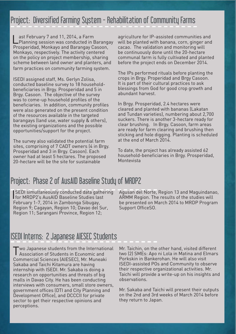### Project: Diversified Farming System - Rehabilitation of Community Farms

Last February 7 and 11, 2014, a Farm<br>Planning session was conducted in Barangay Prosperidad, Monkayo and Barangay Casoon, Monkayo, respectively. The activity centered on the policy on project membership, sharing scheme between land owner and planters, and farm practices on community farming system.

ISEDI assigned staff, Ms. Gerlyn Zolisa, conducted baseline survey to 18 householdbeneficiaries in Brgy. Prosperidad and 5 in Brgy. Casoon. The objective of the survey was to come-up household profiles of the beneficiaries. In addition, community profiles were also generated on the present condition of the resources available in the targeted barangays (land use, water supply & others), the existing organizations and the possible opportunities/support for the project.

The survey also validated the potential farm sites, comprising of 7 CADT owners (4 in Brgy. Prosperidad and 3 in Brgy. Casoon). Each owner had at least 5 hectares. The proposed 20-hectare will be the site for sustainable

agriculture for IP-assisted communities and will be planted with banana, corn, ginger and cacao. The validation and monitoring will be continuously done until the 20-hectare communal farm is fully cultivated and planted before the project ends on December 2014.

The IPs performed rituals before planting the crops in Brgy. Properidad and Brgy Casoon. It is part of their cultural practices to ask blessings from God for good crop growth and abundant harvest.

In Brgy. Prosperidad, 2.4 hectares were cleared and planted with bananas (Lakatan and Tundan varieties), numbering about 2,700 suckers. There is another 3-hectare ready for clear brushing. In Brgy. Casoon, farm areas are ready for farm clearing and brushing then sticking and hole digging. Planting is scheduled at the end of March 2014.

To date, the project has already assisted 62 household-beneficiaries in Brgy. Prosperidad, Montevista

#### Project: Phase 2 of AusAID Baseline Study of MRDP2

**SEDI** simultaneously conducted data gathe<br>for MRDP2's AusAID Baseline Studies last SEDI simultaneously conducted data gathering February 1-7, 2014 in Zambonga Sibugay, Region 9; Cagayan, Region 10; Davao del Sur, Region 11; Sarangani Province, Region 12;

Agusan del Norte, Region 13 and Maguindanao, ARMM Region. The results of the studies will be presented on March 2014 to MRDP Program Support OfficeSO.

### ISEDI Interns: 2 Japanese AIESEC Students

Two Japanese students from the International Association of Students in Economic and Commercial Sciences (AIESEC), Mr. Muneaki Sakaba and Taichi Kitamura are having internship with ISEDI. Mr. Sakaba is doing a research on opportunities and threats of big malls in Davao City. He has been conducting interviews with consumers, small store owners, government offices (DTI and City Planning and Development Office), and DCCCII for private sector to get their respective opinions and perceptions.

Mr. Taichin, on the other hand, visited different two (2) SMEs: Apo ni Lola in Matina and Elmars Porkskin in Bankerohan. He will also visit ISEDI-assisted POs and Community to observe their respective organizational activities. Mr. Taichi will provide a write-up on his insights and observations.

Mr. Sakaba and Taichi will present their outputs on the 2nd and 3rd weeks of March 2014 before they return to Japan.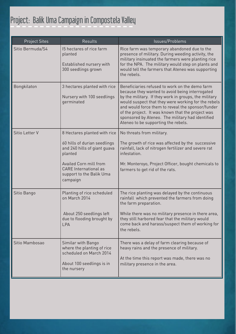# Project: Balik Uma Campaign in Compostela Valley

| <b>Project Sites</b> | <b>Results</b>                                                                                                                                                                                            | Issues/Problems                                                                                                                                                                                                                                                                                                                                                                                                        |
|----------------------|-----------------------------------------------------------------------------------------------------------------------------------------------------------------------------------------------------------|------------------------------------------------------------------------------------------------------------------------------------------------------------------------------------------------------------------------------------------------------------------------------------------------------------------------------------------------------------------------------------------------------------------------|
| Sitio Bermuda/S4     | 15 hectares of rice farm<br>planted<br>Established nursery with<br>300 seedlings grown                                                                                                                    | Rice farm was temporary abandoned due to the<br>presence of military. During weeding activity, the<br>military insinuated the farmers were planting rice<br>for the NPA. The military would step on plants and<br>would tell the farmers that Ateneo was supporting<br>the rebels.                                                                                                                                     |
| Bongkilaton          | 3 hectares planted with rice<br>Nursery with 100 seedlings<br>germinated                                                                                                                                  | Beneficiaries refused to work on the demo farm<br>because they wanted to avoid being interrogated<br>by the military. If they work in groups, the military<br>would suspect that they were working for the rebels<br>and would force them to reveal the sponsor/funder<br>of the project. It was known that the project was<br>sponsored by Ateneo. The military had identified<br>Ateneo to be supporting the rebels. |
| Sitio Letter V       | 8 Hectares planted with rice<br>60 hills of durian seedlings<br>and 240 hills of giant guava<br>planted<br>Availed Corn mill from<br><b>CARE</b> International as<br>support to the Balik Uma<br>campaign | No threats from military.<br>The growth of rice was affected by the successive<br>rainfall, lack of nitrogen fertilizer and severe rat<br>infestation.<br>Mr. Monteroyo, Project Officer, bought chemicals to<br>farmers to get rid of the rats.                                                                                                                                                                       |
| Sitio Bango          | Planting of rice scheduled<br>on March 2014<br>About 250 seedlings left<br>due to flooding brought by<br><b>LPA</b>                                                                                       | The rice planting was delayed by the continuous<br>rainfall which prevented the farmers from doing<br>the farm preparation.<br>While there was no military presence in there area,<br>they still harbored fear that the military would<br>come back and harass/suspect them of working for<br>the rebels.                                                                                                              |
| Sitio Mambosao       | Similar with Bango<br>where the planting of rice<br>scheduled on March 2014<br>About 100 seedlings is in<br>the nursery                                                                                   | There was a delay of farm clearing because of<br>heavy rains and the presence of military.<br>At the time this report was made, there was no<br>military presence in the area.                                                                                                                                                                                                                                         |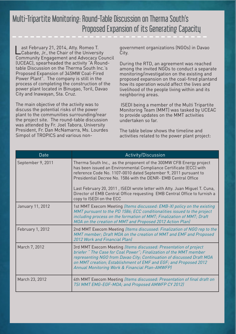Multi-Tripartite Monitoring: Round-Table Discussion on Therma South's Proposed Expansion of its Generating Capacity

Last February 21, 2014, Atty. Romeo T.<br>Cabarde, Jr., the Chair of the University Community Engagement and Advocacy Council (UCEAC), spearheaded the activity "A Roundtable Discussion on the Therma South Inc.'s Proposed Expansion of 345MW Coal-Fired Power Plant". The company is still in the process of completing the construction of the power plant located in Binugao, Toril, Davao City and Inawayan, Sta. Cruz.

The main objective of the activity was to discuss the potential risks of the power plant to the communities surrounding/near the project site. The round-table discussion was attended by Fr. Joel Tabora, University President, Fr. Dan McNamarra, Ms. Lourdes Simpol of TROPICS and various nongovernment organizations (NGOs) in Davao City.

During the RTD, an agreement was reached among the invited NGOs to conduct a separate monitoring/investigation on the existing and proposed expansion on the coal-fired plantand how its operation would affect the lives and livelihood of the people living within and its neighboring areas.

 ISEDI being a member of the Multi Tripartite Monitoring Team (MMT) was tasked by UCEAC to provide updates on the MMT activities undertaken so far.

The table below shows the timeline and activities related to the power plant project:

| Date              | Activity/Discussion                                                                                                                                                                                                                                                                                                                                                                                                                                                    |
|-------------------|------------------------------------------------------------------------------------------------------------------------------------------------------------------------------------------------------------------------------------------------------------------------------------------------------------------------------------------------------------------------------------------------------------------------------------------------------------------------|
| September 9, 2011 | Therma South Inc., as the proponent of the 300MW CFB Energy project<br>has been issued an Environmental Compliance Certificate (ECC) with<br>reference Code No. 1107-0010 dated September 9, 2011 pursuant to<br>Presidential Decree No. 1586 with the DENR- EMB Central Office<br>Last February 20, 2011, ISEDI wrote letter with Atty. Juan Miguel T. Cuna,<br>Director of EMB Central Office requesting EMB Central Office to furnish a<br>copy to ISEDI on the ECC |
| January 11, 2012  | 1st MMT Execom Meeting (Items discussed: EMB-XI policy on the existing<br>MMT pursuant to the PD 1586; ECC conditionalities issued to the project<br>including process on the formation of MMT; Finalization of MMT; Draft<br>MOA on the creation of MMT and Proposed 2012 Action Plan)                                                                                                                                                                                |
| February 1, 2012  | 2nd MMT Execom Meeting (Items discussed: Finalization of NGO rep to the<br>MMT member; Draft MOA on the creation of MMT and EMF and Proposed<br>2012 Work and Financial Plan)                                                                                                                                                                                                                                                                                          |
| March 7, 2012     | 3rd MMT Execom Meeting (Items discussed: Presentation of project<br>briefer "The Case for Coal Power"; Finalization of the MMT member<br>representing NGO from Davao City; Continuation of discussed Draft MOA<br>on MMT creation; Establishment of EMF and EGF; and Proposed 2012<br>Annual Monitoring Work & Financial Plan-AMWFP)                                                                                                                                   |
| March 23, 2012    | 4th MMT Execom Meeting (Items discussed: Presentation of final draft on<br>TSI MMT EMG-EGF-MOA; and Proposed AMWFP CY 2012)                                                                                                                                                                                                                                                                                                                                            |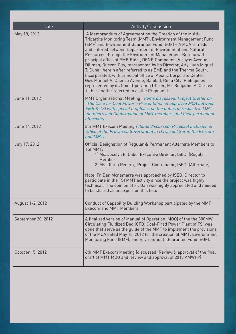| Date               | Activity/Discussion                                                                                                                                                                                                                                                                                                                                                                                                                                                                                                                                                                                                                                                                                                                                                                     |
|--------------------|-----------------------------------------------------------------------------------------------------------------------------------------------------------------------------------------------------------------------------------------------------------------------------------------------------------------------------------------------------------------------------------------------------------------------------------------------------------------------------------------------------------------------------------------------------------------------------------------------------------------------------------------------------------------------------------------------------------------------------------------------------------------------------------------|
| May 18, 2012       | A Memorandum of Agreement on the Creation of the Multi-<br>Tripartite Monitoring Team (MMT), Environment Management Fund<br>(EMF) and Environment Guarantee Fund (EGF) - A MOA is made<br>and entered between Department of Environment and Natural<br>Resources through the Environment Management Bureau with<br>principal office at EMB Bldg., DENR Compound, Visayas Avenue,<br>Diliman, Quezon City, represented by its Director, Atty Juan Miguel<br>T. Cuna, herein after referred to as EMB and the Therma South,<br>Incorporated, with principal office at Aboitiz Corporate Center,<br>Gov. Manuel A. Cuenco Avenue, Banilad, Cebu City, Philippines<br>represented by its Chief Operating Officer, Mr. Benjamin A. Cariaso,<br>Jr. hereinafter referred to as the Proponent. |
| June 11, 2012      | MMT Organizational Meeting (Items discussed: Project Briefer on<br>"The Case for Coal Power"; Presentation of approved MOA between<br>EMB & TSI with special emphasis on the duties of respective MMT<br>members and Confirmation of MMT members and their permanent<br>alternate)                                                                                                                                                                                                                                                                                                                                                                                                                                                                                                      |
| June 14, 2012      | 5th MMT Execom Meeting (Items discussed: Proposal inclusion of<br>Office of the Provincial Government in Davao del Sur in the Execom<br>and MMT)                                                                                                                                                                                                                                                                                                                                                                                                                                                                                                                                                                                                                                        |
| July 17, 2012      | Official Designation of Regular & Permanent Alternate Members to<br>TSI MMT:<br>1) Ms. Jocelyn E. Cabo, Executive Director, ISEDI (Regular<br>Memberl<br>2) Ms. Gloria Penera, Project Coordinator, ISEDI (Alternate)<br>Note: Fr. Dan Mcnamarra was approached by ISEDI Director to<br>participate in the TSI MMT activity since the project was highly<br>technical. The opinion of Fr. Dan was highly appreciated and needed<br>to be shared as an expert on this field.                                                                                                                                                                                                                                                                                                             |
| August 1-2, 2012   | Conduct of Capability Building Workshop participated by the MMT<br><b>Execom and MMT Members</b>                                                                                                                                                                                                                                                                                                                                                                                                                                                                                                                                                                                                                                                                                        |
| September 20, 2012 | A finalized version of Manual of Operation (MOO) of the the 300MW<br>Circulating Fluidized Bed (CFB) Coal-Fired Power Plant of TSI was<br>done that serve as the guide of the MMT to implement the provisions<br>of the MOA dated May 18, 2012 for the creation of MMT, Environment<br>Monitoring Fund (EMF), and Environment Guarantee Fund (EGF).                                                                                                                                                                                                                                                                                                                                                                                                                                     |
| October 15, 2012   | 6th MMT Execom Meeting (discussed: Review & approval of the final<br>draft of MMT MOO and Review and approval of 2013 AMWFP)                                                                                                                                                                                                                                                                                                                                                                                                                                                                                                                                                                                                                                                            |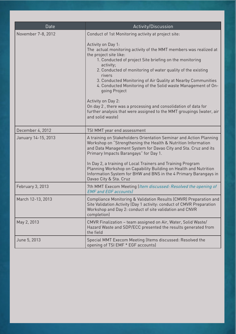| Date                | Activity/Discussion                                                                                                                                                                                                                                                                                                                                                                                                                                                                                                                                                                                     |
|---------------------|---------------------------------------------------------------------------------------------------------------------------------------------------------------------------------------------------------------------------------------------------------------------------------------------------------------------------------------------------------------------------------------------------------------------------------------------------------------------------------------------------------------------------------------------------------------------------------------------------------|
| November 7-8, 2012  | Conduct of 1st Monitoring activity at project site:                                                                                                                                                                                                                                                                                                                                                                                                                                                                                                                                                     |
|                     | Activity on Day 1:<br>The actual monitoring activity of the MMT members was realized at<br>the project site like:<br>1. Conducted of project Site briefing on the monitoring<br>activity;<br>2. Conducted of monitoring of water quality of the existing<br>rivers<br>3. Conducted Monitoring of Air Quality at Nearby Communities<br>4. Conducted Monitoring of the Solid waste Management of On-<br>going Project<br>Activity on Day 2:<br>On day 2, there was a processing and consolidation of data for<br>further analysis that were assigned to the MMT groupings (water, air<br>and solid waste) |
| December 4, 2012    | TSI MMT year end assessment                                                                                                                                                                                                                                                                                                                                                                                                                                                                                                                                                                             |
| January 14-15, 2013 | A training on Stakeholders Orientation Seminar and Action Planning<br>Workshop on "Strengthening the Health & Nutrition Information<br>and Data Management System for Davao City and Sta. Cruz and its<br>Primary Impacts Barangays" for Day 1.<br>In Day 2, a training of Local Trainers and Training Program<br>Planning Workshop on Capability Building on Health and Nutrition                                                                                                                                                                                                                      |
|                     | Information System for BHW and BNS in the 4 Primary Barangays in<br>Davao City & Sta. Cruz                                                                                                                                                                                                                                                                                                                                                                                                                                                                                                              |
| February 3, 2013    | 7th MMT Execom Meeting (Item discussed: Resolved the opening of<br><b>EMF</b> and EGF accounts)                                                                                                                                                                                                                                                                                                                                                                                                                                                                                                         |
| March 12-13, 2013   | Compliance Monitoring & Validation Results (CMVR) Preparation and<br>Site Validation Activity (Day 1 activity: conduct of CMVR Preparation<br>Workshop and Day 2: conduct of site validation and CNVR<br>completion)                                                                                                                                                                                                                                                                                                                                                                                    |
| May 2, 2013         | CMVR Finalization - team assigned on Air, Water, Solid Waste/<br>Hazard Waste and SDP/ECC presented the results generated from<br>the field                                                                                                                                                                                                                                                                                                                                                                                                                                                             |
| June 5, 2013        | Special MMT Execom Meeting (Items discussed: Resolved the<br>opening of TSI EMF * EGF accounts)                                                                                                                                                                                                                                                                                                                                                                                                                                                                                                         |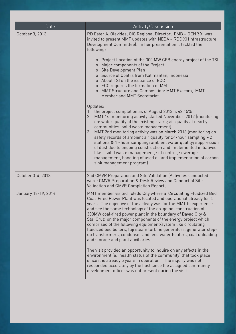| Date                | Activity/Discussion                                                                                                                                                                                                                                                                                                                                                                                                                                                                                                                                                                                                                                                                                                                                                                                                                                                                                                                                                                                |  |
|---------------------|----------------------------------------------------------------------------------------------------------------------------------------------------------------------------------------------------------------------------------------------------------------------------------------------------------------------------------------------------------------------------------------------------------------------------------------------------------------------------------------------------------------------------------------------------------------------------------------------------------------------------------------------------------------------------------------------------------------------------------------------------------------------------------------------------------------------------------------------------------------------------------------------------------------------------------------------------------------------------------------------------|--|
| October 3, 2013     | RD Ester A. Olavides, OIC Regional Director, EMB - DENR Xi was<br>invited to present MMT updates with NEDA - RDC XI (Infrastructure<br>Development Committee). In her presentation it tackled the<br>following:                                                                                                                                                                                                                                                                                                                                                                                                                                                                                                                                                                                                                                                                                                                                                                                    |  |
|                     | o Project Location of the 300 MW CFB energy project of the TSI<br>o Major components of the Project<br>o Site Development Plan<br>o Source of Coal is from Kalimantan, Indonesia<br>o About TSI on the issuance of ECC<br>o ECC requires the formation of MMT<br>o MMT Structure and Composition: MMT Execom, MMT<br>Member and MMT Secretariat                                                                                                                                                                                                                                                                                                                                                                                                                                                                                                                                                                                                                                                    |  |
|                     | Updates:<br>1. the project completion as of August 2013 is 42.15%<br>2. MMT 1st monitoring activity started November, 2012 (monitoring<br>on: water quality of the existing rivers; air quality at nearby<br>communities; solid waste management)<br>3. MMT 2nd monitoring activity was on March 2013 (monitoring on:<br>safety records of ambient air quality for 24-hour sampling - 2<br>stations & 1-hour sampling; ambient water quality; suppression<br>of dust due to ongoing construction and implemented initiatives<br>like - solid waste management, silt control, sewerage<br>management, handling of used oil and implementation of carbon<br>sink management program)                                                                                                                                                                                                                                                                                                                 |  |
| October 3-4, 2013   | 2nd CMVR Preparation and Site Validation (Activities conducted<br>were: CMVR Preparation & Desk Review and Conduct of Site<br>Validation and CMVR Completion Report)                                                                                                                                                                                                                                                                                                                                                                                                                                                                                                                                                                                                                                                                                                                                                                                                                               |  |
| January 18-19, 2014 | MMT member visited Toledo City where a Circulating Fluidized Bed<br>Coal-Fired Power Plant was located and operational already for 5<br>years. The objective of the activity was for the MMT to experience<br>and see the same technology of the on-going construction of<br>300MW coal-fired power plant in the boundary of Davao City &<br>Sta. Cruz on the major components of the energy project which<br>comprised of the following equipment/system like circulating<br>fluidized bed boilers, fuji steam turbine generators, generator step-<br>up transformers, condenser and feed water heaters, coal unloading<br>and storage and plant auxiliaries<br>The visit provided an opportunity to inquire on any effects in the<br>environment (e.i health status of the community) that took place<br>since it is already 5 years in operation. The inquiry was not<br>responded accurately by the host since the assigned community<br>development officer was not present during the visit. |  |